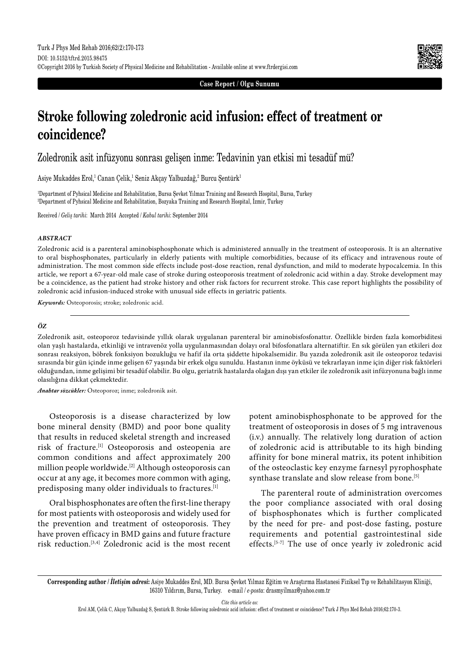

**Case Report / Olgu Sunumu**

# **Stroke following zoledronic acid infusion: effect of treatment or coincidence?**

Zoledronik asit infüzyonu sonrası gelişen inme: Tedavinin yan etkisi mi tesadüf mü?

Asiye Mukaddes Erol,<sup>1</sup> Canan Çelik,<sup>1</sup> Seniz Akçay Yalbuzdağ,<sup>2</sup> Burcu Şentürk<sup>1</sup>

1 Department of Pyhsical Medicine and Rehabilitation, Bursa Şevket Yılmaz Training and Research Hospital, Bursa, Turkey 2 Department of Pyhsical Medicine and Rehabilitation, Bozyaka Training and Research Hospital, İzmir, Turkey

Received / *Geliş tarihi*: March 2014 Accepted / *Kabul tarihi*: September 2014

### *ABSTRACT*

Zoledronic acid is a parenteral aminobisphosphonate which is administered annually in the treatment of osteoporosis. It is an alternative to oral bisphosphonates, particularly in elderly patients with multiple comorbidities, because of its efficacy and intravenous route of administration. The most common side effects include post-dose reaction, renal dysfunction, and mild to moderate hypocalcemia. In this article, we report a 67-year-old male case of stroke during osteoporosis treatment of zoledronic acid within a day. Stroke development may be a coincidence, as the patient had stroke history and other risk factors for recurrent stroke. This case report highlights the possibility of zoledronic acid infusion-induced stroke with unusual side effects in geriatric patients.

*Keywords:* Osteoporosis; stroke; zoledronic acid.

### *ÖZ*

Zoledronik asit, osteoporoz tedavisinde yıllık olarak uygulanan parenteral bir aminobisfosfonattır. Özellikle birden fazla komorbiditesi olan yaşlı hastalarda, etkinliği ve intravenöz yolla uygulanmasından dolayı oral bifosfonatlara alternatiftir. En sık görülen yan etkileri doz sonrası reaksiyon, böbrek fonksiyon bozukluğu ve hafif ila orta şiddette hipokalsemidir. Bu yazıda zoledronik asit ile osteoporoz tedavisi sırasında bir gün içinde inme gelişen 67 yaşında bir erkek olgu sunuldu. Hastanın inme öyküsü ve tekrarlayan inme için diğer risk faktörleri olduğundan, inme gelişimi bir tesadüf olabilir. Bu olgu, geriatrik hastalarda olağan dışı yan etkiler ile zoledronik asit infüzyonuna bağlı inme olasılığına dikkat çekmektedir.

*Anahtar sözcükler:* Osteoporoz; inme; zoledronik asit.

Osteoporosis is a disease characterized by low bone mineral density (BMD) and poor bone quality that results in reduced skeletal strength and increased risk of fracture.[1] Osteoporosis and osteopenia are common conditions and affect approximately 200 million people worldwide.<sup>[2]</sup> Although osteoporosis can occur at any age, it becomes more common with aging, predisposing many older individuals to fractures.[1]

Oral bisphosphonates are often the first-line therapy for most patients with osteoporosis and widely used for the prevention and treatment of osteoporosis. They have proven efficacy in BMD gains and future fracture risk reduction.[3,4] Zoledronic acid is the most recent potent aminobisphosphonate to be approved for the treatment of osteoporosis in doses of 5 mg intravenous (i.v.) annually. The relatively long duration of action of zoledronic acid is attributable to its high binding affinity for bone mineral matrix, its potent inhibition of the osteoclastic key enzyme farnesyl pyrophosphate synthase translate and slow release from bone.<sup>[5]</sup>

The parenteral route of administration overcomes the poor compliance associated with oral dosing of bisphosphonates which is further complicated by the need for pre- and post-dose fasting, posture requirements and potential gastrointestinal side effects.[5-7] The use of once yearly iv zoledronic acid

*Cite this article as:*

**Corresponding author /** *İletişim adresi***:** Asiye Mukaddes Erol, MD. Bursa Şevket Yılmaz Eğitim ve Araştırma Hastanesi Fiziksel Tıp ve Rehabilitasyon Kliniği, 16310 Yıldırım, Bursa, Turkey. e-mail / *e-posta*: drasmyilmaz@yahoo.com.tr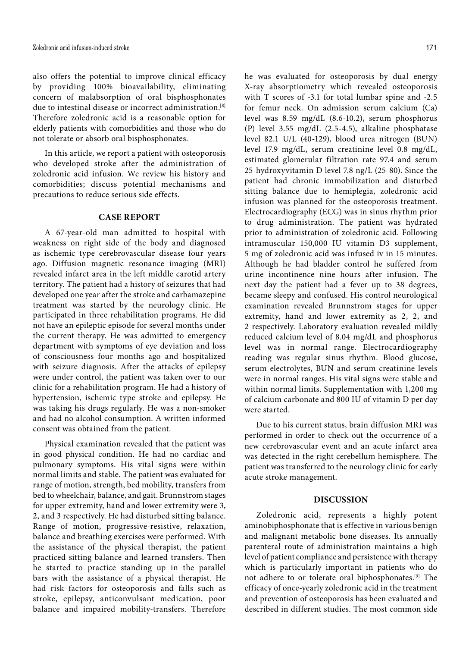also offers the potential to improve clinical efficacy by providing 100% bioavailability, eliminating concern of malabsorption of oral bisphosphonates due to intestinal disease or incorrect administration.<sup>[8]</sup> Therefore zoledronic acid is a reasonable option for elderly patients with comorbidities and those who do not tolerate or absorb oral bisphosphonates.

In this article, we report a patient with osteoporosis who developed stroke after the administration of zoledronic acid infusion. We review his history and comorbidities; discuss potential mechanisms and precautions to reduce serious side effects.

# **CASE REPORT**

A 67-year-old man admitted to hospital with weakness on right side of the body and diagnosed as ischemic type cerebrovascular disease four years ago. Diffusion magnetic resonance imaging (MRI) revealed infarct area in the left middle carotid artery territory. The patient had a history of seizures that had developed one year after the stroke and carbamazepine treatment was started by the neurology clinic. He participated in three rehabilitation programs. He did not have an epileptic episode for several months under the current therapy. He was admitted to emergency department with symptoms of eye deviation and loss of consciousness four months ago and hospitalized with seizure diagnosis. After the attacks of epilepsy were under control, the patient was taken over to our clinic for a rehabilitation program. He had a history of hypertension, ischemic type stroke and epilepsy. He was taking his drugs regularly. He was a non-smoker and had no alcohol consumption. A written informed consent was obtained from the patient.

Physical examination revealed that the patient was in good physical condition. He had no cardiac and pulmonary symptoms. His vital signs were within normal limits and stable. The patient was evaluated for range of motion, strength, bed mobility, transfers from bed to wheelchair, balance, and gait. Brunnstrom stages for upper extremity, hand and lower extremity were 3, 2, and 3 respectively. He had disturbed sitting balance. Range of motion, progressive-resistive, relaxation, balance and breathing exercises were performed. With the assistance of the physical therapist, the patient practiced sitting balance and learned transfers. Then he started to practice standing up in the parallel bars with the assistance of a physical therapist. He had risk factors for osteoporosis and falls such as stroke, epilepsy, anticonvulsant medication, poor balance and impaired mobility-transfers. Therefore he was evaluated for osteoporosis by dual energy X-ray absorptiometry which revealed osteoporosis with T scores of -3.1 for total lumbar spine and -2.5 for femur neck. On admission serum calcium (Ca) level was 8.59 mg/dL (8.6-10.2), serum phosphorus (P) level 3.55 mg/dL (2.5-4.5), alkaline phosphatase level 82.1 U/L (40-129), blood urea nitrogen (BUN) level 17.9 mg/dL, serum creatinine level 0.8 mg/dL, estimated glomerular filtration rate 97.4 and serum 25-hydroxyvitamin D level 7.8 ng/L (25-80). Since the patient had chronic immobilization and disturbed sitting balance due to hemiplegia, zoledronic acid infusion was planned for the osteoporosis treatment. Electrocardiography (ECG) was in sinus rhythm prior to drug administration. The patient was hydrated prior to administration of zoledronic acid. Following intramuscular 150,000 IU vitamin D3 supplement, 5 mg of zoledronic acid was infused iv in 15 minutes. Although he had bladder control he suffered from urine incontinence nine hours after infusion. The next day the patient had a fever up to 38 degrees, became sleepy and confused. His control neurological examination revealed Brunnstrom stages for upper extremity, hand and lower extremity as 2, 2, and 2 respectively. Laboratory evaluation revealed mildly reduced calcium level of 8.04 mg/dL and phosphorus level was in normal range. Electrocardiography reading was regular sinus rhythm. Blood glucose, serum electrolytes, BUN and serum creatinine levels were in normal ranges. His vital signs were stable and within normal limits. Supplementation with 1,200 mg of calcium carbonate and 800 IU of vitamin D per day were started.

Due to his current status, brain diffusion MRI was performed in order to check out the occurrence of a new cerebrovascular event and an acute infarct area was detected in the right cerebellum hemisphere. The patient was transferred to the neurology clinic for early acute stroke management.

## **DISCUSSION**

Zoledronic acid, represents a highly potent aminobiphosphonate that is effective in various benign and malignant metabolic bone diseases. Its annually parenteral route of administration maintains a high level of patient compliance and persistence with therapy which is particularly important in patients who do not adhere to or tolerate oral biphosphonates.[9] The efficacy of once-yearly zoledronic acid in the treatment and prevention of osteoporosis has been evaluated and described in different studies. The most common side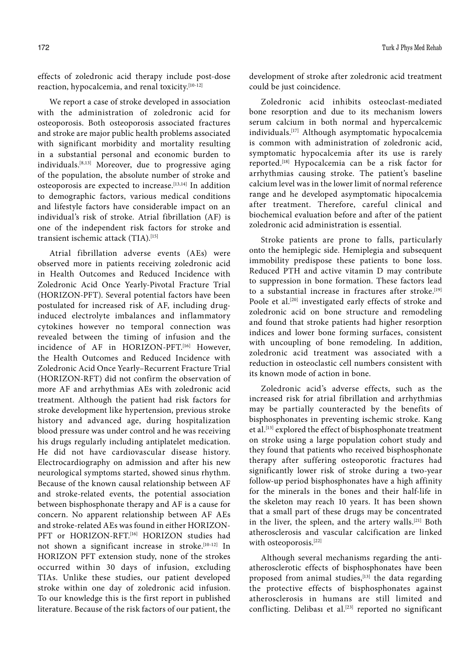effects of zoledronic acid therapy include post-dose reaction, hypocalcemia, and renal toxicity.[10-12]

We report a case of stroke developed in association with the administration of zoledronic acid for osteoporosis. Both osteoporosis associated fractures and stroke are major public health problems associated with significant morbidity and mortality resulting in a substantial personal and economic burden to individuals.[8,13] Moreover, due to progressive aging of the population, the absolute number of stroke and osteoporosis are expected to increase.<sup>[13,14]</sup> In addition to demographic factors, various medical conditions and lifestyle factors have considerable impact on an individual's risk of stroke. Atrial fibrillation (AF) is one of the independent risk factors for stroke and transient ischemic attack (TIA).[15]

Atrial fibrillation adverse events (AEs) were observed more in patients receiving zoledronic acid in Health Outcomes and Reduced Incidence with Zoledronic Acid Once Yearly-Pivotal Fracture Trial (HORIZON-PFT). Several potential factors have been postulated for increased risk of AF, including druginduced electrolyte imbalances and inflammatory cytokines however no temporal connection was revealed between the timing of infusion and the incidence of AF in HORIZON-PFT.[16] However, the Health Outcomes and Reduced Incidence with Zoledronic Acid Once Yearly–Recurrent Fracture Trial (HORIZON-RFT) did not confirm the observation of more AF and arrhythmias AEs with zoledronic acid treatment. Although the patient had risk factors for stroke development like hypertension, previous stroke history and advanced age, during hospitalization blood pressure was under control and he was receiving his drugs regularly including antiplatelet medication. He did not have cardiovascular disease history. Electrocardiography on admission and after his new neurological symptoms started, showed sinus rhythm. Because of the known causal relationship between AF and stroke-related events, the potential association between bisphosphonate therapy and AF is a cause for concern. No apparent relationship between AF AEs and stroke-related AEs was found in either HORIZON-PFT or HORIZON-RFT.[16] HORIZON studies had not shown a significant increase in stroke.[10-12] In HORIZON PFT extension study, none of the strokes occurred within 30 days of infusion, excluding TIAs. Unlike these studies, our patient developed stroke within one day of zoledronic acid infusion. To our knowledge this is the first report in published literature. Because of the risk factors of our patient, the development of stroke after zoledronic acid treatment could be just coincidence.

Zoledronic acid inhibits osteoclast-mediated bone resorption and due to its mechanism lowers serum calcium in both normal and hypercalcemic individuals.[17] Although asymptomatic hypocalcemia is common with administration of zoledronic acid, symptomatic hypocalcemia after its use is rarely reported.[18] Hypocalcemia can be a risk factor for arrhythmias causing stroke. The patient's baseline calcium level was in the lower limit of normal reference range and he developed asymptomatic hipocalcemia after treatment. Therefore, careful clinical and biochemical evaluation before and after of the patient zoledronic acid administration is essential.

Stroke patients are prone to falls, particularly onto the hemiplegic side. Hemiplegia and subsequent immobility predispose these patients to bone loss. Reduced PTH and active vitamin D may contribute to suppression in bone formation. These factors lead to a substantial increase in fractures after stroke.<sup>[19]</sup> Poole et al.<sup>[20]</sup> investigated early effects of stroke and zoledronic acid on bone structure and remodeling and found that stroke patients had higher resorption indices and lower bone forming surfaces, consistent with uncoupling of bone remodeling. In addition, zoledronic acid treatment was associated with a reduction in osteoclastic cell numbers consistent with its known mode of action in bone.

Zoledronic acid's adverse effects, such as the increased risk for atrial fibrillation and arrhythmias may be partially counteracted by the benefits of bisphosphonates in preventing ischemic stroke. Kang et al.<sup>[13]</sup> explored the effect of bisphosphonate treatment on stroke using a large population cohort study and they found that patients who received bisphosphonate therapy after suffering osteoporotic fractures had significantly lower risk of stroke during a two-year follow-up period bisphosphonates have a high affinity for the minerals in the bones and their half-life in the skeleton may reach 10 years. It has been shown that a small part of these drugs may be concentrated in the liver, the spleen, and the artery walls.[21] Both atherosclerosis and vascular calcification are linked with osteoporosis.<sup>[22]</sup>

Although several mechanisms regarding the antiatherosclerotic effects of bisphosphonates have been proposed from animal studies,<sup>[13]</sup> the data regarding the protective effects of bisphosphonates against atherosclerosis in humans are still limited and conflicting. Delibası et al. $[23]$  reported no significant